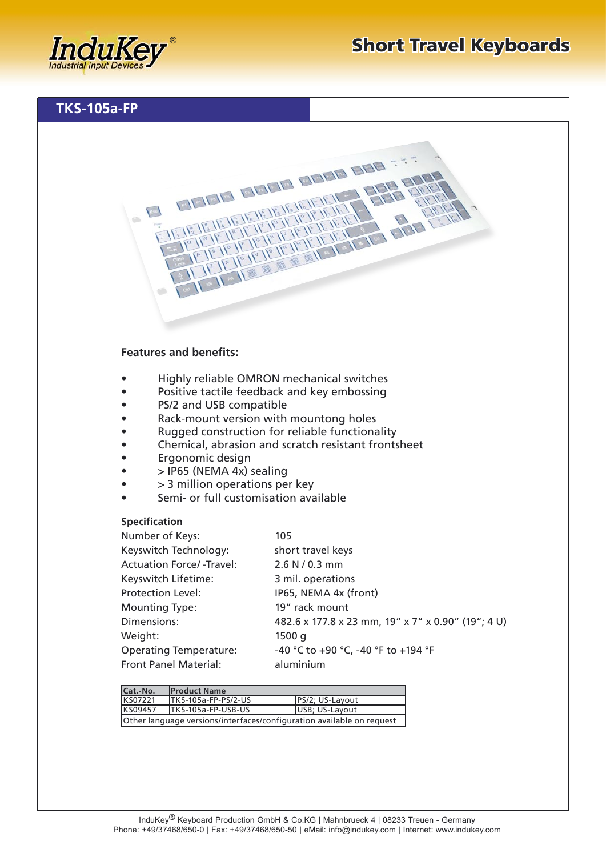## **Features and benefits:**

 $E = 1$ 

- Highly reliable OMRON mechanical switches
- Positive tactile feedback and key embossing
- PS/2 and USB compatible
- Rack-mount version with mountong holes
- Rugged construction for reliable functionality
- Chemical, abrasion and scratch resistant frontsheet

**ENERGY CREW CREW CREW CAPTAIN** 

E TE TE TE TE TE TE TE TE TE TE TE<br>E TE TE TE TE TE TE TE TE TE TE TE<br>TE TE TE TE TE TE TE TE TE TE TE TE TE<br>TE TE TE TE TE TE TE TE TE TE TE TE

**REACTER** 

- Ergonomic design
- $\bullet$  > IP65 (NEMA 4x) sealing
- > 3 million operations per key
- Semi- or full customisation available

## **Specification**

| Number of Keys:                 | 105                                                |
|---------------------------------|----------------------------------------------------|
| Keyswitch Technology:           | short travel keys                                  |
| <b>Actuation Force/-Travel:</b> | 2.6 N / 0.3 mm                                     |
| Keyswitch Lifetime:             | 3 mil. operations                                  |
| <b>Protection Level:</b>        | IP65, NEMA 4x (front)                              |
| <b>Mounting Type:</b>           | 19" rack mount                                     |
| Dimensions:                     | 482.6 x 177.8 x 23 mm, 19" x 7" x 0.90" (19"; 4 U) |
| Weight:                         | 1500q                                              |
| <b>Operating Temperature:</b>   | -40 °C to +90 °C, -40 °F to +194 °F                |
| <b>Front Panel Material:</b>    | aluminium                                          |

| lCat.-No.                                                             | <b>IProduct Name</b> |                 |  |  |
|-----------------------------------------------------------------------|----------------------|-----------------|--|--|
| KS07221                                                               | ITKS-105a-FP-PS/2-US | PS/2; US-Layout |  |  |
| KS09457                                                               | ITKS-105a-FP-USB-US  | USB; US-Layout  |  |  |
| Other language versions/interfaces/configuration available on request |                      |                 |  |  |